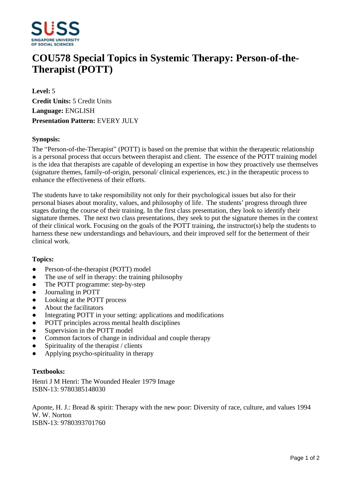

# **COU578 Special Topics in Systemic Therapy: Person-of-the-Therapist (POTT)**

**Level:** 5 **Credit Units:** 5 Credit Units **Language:** ENGLISH **Presentation Pattern:** EVERY JULY

### **Synopsis:**

The "Person-of-the-Therapist" (POTT) is based on the premise that within the therapeutic relationship is a personal process that occurs between therapist and client. The essence of the POTT training model is the idea that therapists are capable of developing an expertise in how they proactively use themselves (signature themes, family-of-origin, personal/ clinical experiences, etc.) in the therapeutic process to enhance the effectiveness of their efforts.

The students have to take responsibility not only for their psychological issues but also for their personal biases about morality, values, and philosophy of life. The students' progress through three stages during the course of their training. In the first class presentation, they look to identify their signature themes. The next two class presentations, they seek to put the signature themes in the context of their clinical work. Focusing on the goals of the POTT training, the instructor(s) help the students to harness these new understandings and behaviours, and their improved self for the betterment of their clinical work.

#### **Topics:**

- Person-of-the-therapist (POTT) model
- The use of self in therapy: the training philosophy
- The POTT programme: step-by-step
- Journaling in POTT
- Looking at the POTT process
- About the facilitators
- Integrating POTT in your setting: applications and modifications
- POTT principles across mental health disciplines
- Supervision in the POTT model
- Common factors of change in individual and couple therapy
- $\bullet$  Spirituality of the therapist / clients
- ƔApplying psycho-spirituality in therapy

## **Textbooks:**

Henri J M Henri: The Wounded Healer 1979 Image ISBN-13: 9780385148030

Aponte, H. J.: Bread & spirit: Therapy with the new poor: Diversity of race, culture, and values 1994 W. W. Norton ISBN-13: 9780393701760